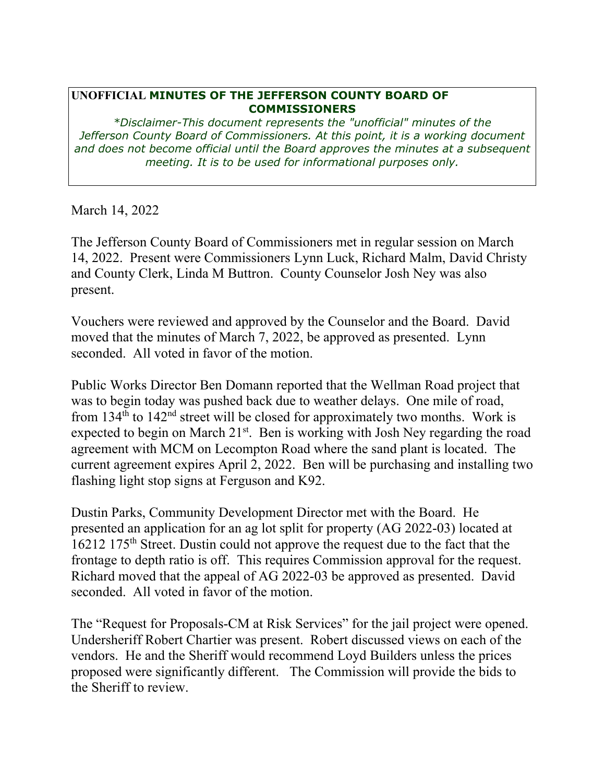## **UNOFFICIAL MINUTES OF THE JEFFERSON COUNTY BOARD OF COMMISSIONERS**

*\*Disclaimer-This document represents the "unofficial" minutes of the Jefferson County Board of Commissioners. At this point, it is a working document and does not become official until the Board approves the minutes at a subsequent meeting. It is to be used for informational purposes only.* 

March 14, 2022

The Jefferson County Board of Commissioners met in regular session on March 14, 2022. Present were Commissioners Lynn Luck, Richard Malm, David Christy and County Clerk, Linda M Buttron. County Counselor Josh Ney was also present.

Vouchers were reviewed and approved by the Counselor and the Board. David moved that the minutes of March 7, 2022, be approved as presented. Lynn seconded. All voted in favor of the motion.

Public Works Director Ben Domann reported that the Wellman Road project that was to begin today was pushed back due to weather delays. One mile of road, from  $134<sup>th</sup>$  to  $142<sup>nd</sup>$  street will be closed for approximately two months. Work is expected to begin on March  $21^{st}$ . Ben is working with Josh Ney regarding the road agreement with MCM on Lecompton Road where the sand plant is located. The current agreement expires April 2, 2022. Ben will be purchasing and installing two flashing light stop signs at Ferguson and K92.

Dustin Parks, Community Development Director met with the Board. He presented an application for an ag lot split for property (AG 2022-03) located at 16212 175th Street. Dustin could not approve the request due to the fact that the frontage to depth ratio is off. This requires Commission approval for the request. Richard moved that the appeal of AG 2022-03 be approved as presented. David seconded. All voted in favor of the motion.

The "Request for Proposals-CM at Risk Services" for the jail project were opened. Undersheriff Robert Chartier was present. Robert discussed views on each of the vendors. He and the Sheriff would recommend Loyd Builders unless the prices proposed were significantly different. The Commission will provide the bids to the Sheriff to review.